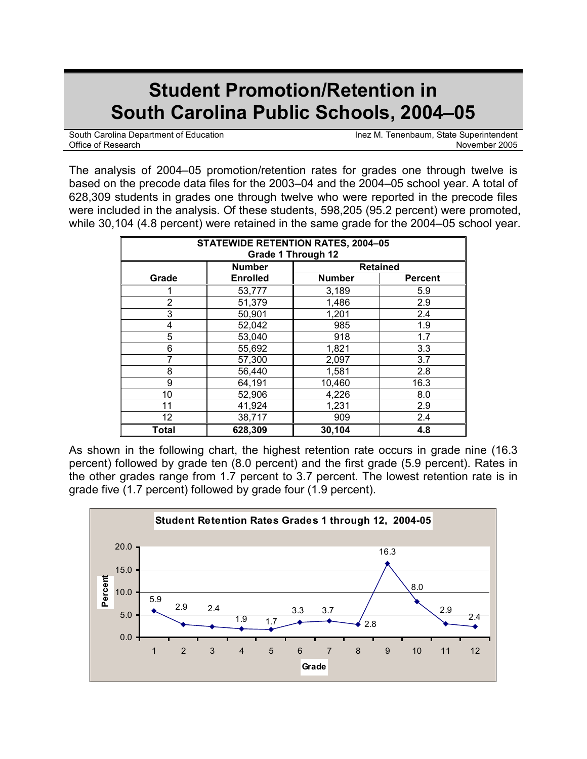# **Student Promotion/Retention in South Carolina Public Schools, 2004–05**

South Carolina Department of Education **Internal Internal Inex** M. Tenenbaum, State Superintendent Office of Research **November 2005** 

The analysis of 2004–05 promotion/retention rates for grades one through twelve is based on the precode data files for the 2003–04 and the 2004–05 school year. A total of 628,309 students in grades one through twelve who were reported in the precode files were included in the analysis. Of these students, 598,205 (95.2 percent) were promoted, while 30,104 (4.8 percent) were retained in the same grade for the 2004–05 school year.

| <b>STATEWIDE RETENTION RATES, 2004-05</b><br><b>Grade 1 Through 12</b> |                 |                 |                |  |  |  |  |
|------------------------------------------------------------------------|-----------------|-----------------|----------------|--|--|--|--|
|                                                                        | <b>Number</b>   | <b>Retained</b> |                |  |  |  |  |
| Grade                                                                  | <b>Enrolled</b> | <b>Number</b>   | <b>Percent</b> |  |  |  |  |
|                                                                        | 53,777          | 3,189           | 5.9            |  |  |  |  |
| $\overline{2}$                                                         | 51,379          | 1,486           | 2.9            |  |  |  |  |
| 3                                                                      | 50,901          | 1,201           | 2.4            |  |  |  |  |
| 4                                                                      | 52,042          | 985             | 1.9            |  |  |  |  |
| 5                                                                      | 53,040          | 918             | 1.7            |  |  |  |  |
| 6                                                                      | 55,692          | 1,821           | 3.3            |  |  |  |  |
| 7                                                                      | 57,300          | 2,097           | 3.7            |  |  |  |  |
| 8                                                                      | 56,440          | 1,581           | 2.8            |  |  |  |  |
| 9                                                                      | 64,191          | 10,460          | 16.3           |  |  |  |  |
| 10                                                                     | 52,906          | 4,226           | 8.0            |  |  |  |  |
| 11                                                                     | 41,924          | 1,231           | 2.9            |  |  |  |  |
| $12 \overline{ }$                                                      | 38,717          | 909             | 2.4            |  |  |  |  |
| Total                                                                  | 628,309         | 30,104          | 4.8            |  |  |  |  |

As shown in the following chart, the highest retention rate occurs in grade nine (16.3 percent) followed by grade ten (8.0 percent) and the first grade (5.9 percent). Rates in the other grades range from 1.7 percent to 3.7 percent. The lowest retention rate is in grade five (1.7 percent) followed by grade four (1.9 percent).

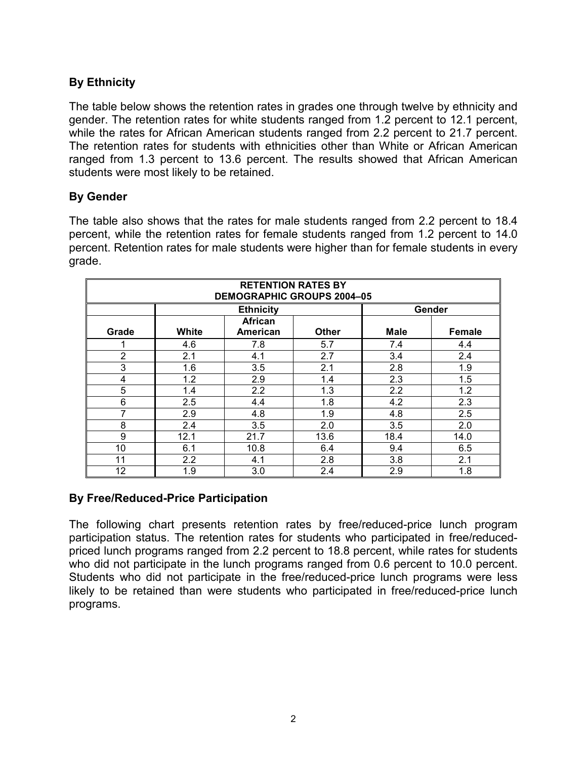## **By Ethnicity**

The table below shows the retention rates in grades one through twelve by ethnicity and gender. The retention rates for white students ranged from 1.2 percent to 12.1 percent, while the rates for African American students ranged from 2.2 percent to 21.7 percent. The retention rates for students with ethnicities other than White or African American ranged from 1.3 percent to 13.6 percent. The results showed that African American students were most likely to be retained.

### **By Gender**

The table also shows that the rates for male students ranged from 2.2 percent to 18.4 percent, while the retention rates for female students ranged from 1.2 percent to 14.0 percent. Retention rates for male students were higher than for female students in every grade.

| <b>RETENTION RATES BY</b><br><b>DEMOGRAPHIC GROUPS 2004-05</b> |                  |                 |              |             |        |  |  |  |
|----------------------------------------------------------------|------------------|-----------------|--------------|-------------|--------|--|--|--|
|                                                                | <b>Ethnicity</b> |                 |              | Gender      |        |  |  |  |
|                                                                |                  | <b>African</b>  |              |             |        |  |  |  |
| Grade                                                          | White            | <b>American</b> | <b>Other</b> | <b>Male</b> | Female |  |  |  |
|                                                                | 4.6              | 7.8             | 5.7          | 7.4         | 4.4    |  |  |  |
| $\overline{2}$                                                 | 2.1              | 4.1             | 2.7          | 3.4         | 2.4    |  |  |  |
| 3                                                              | 1.6              | 3.5             | 2.1          | 2.8         | 1.9    |  |  |  |
| 4                                                              | 1.2              | 2.9             | 1.4          | 2.3         | 1.5    |  |  |  |
| 5                                                              | 1.4              | 2.2             | 1.3          | 2.2         | 1.2    |  |  |  |
| 6                                                              | 2.5              | 4.4             | 1.8          | 4.2         | 2.3    |  |  |  |
| 7                                                              | 2.9              | 4.8             | 1.9          | 4.8         | 2.5    |  |  |  |
| 8                                                              | 2.4              | 3.5             | 2.0          | 3.5         | 2.0    |  |  |  |
| 9                                                              | 12.1             | 21.7            | 13.6         | 18.4        | 14.0   |  |  |  |
| 10                                                             | 6.1              | 10.8            | 6.4          | 9.4         | 6.5    |  |  |  |
| 11                                                             | 2.2              | 4.1             | 2.8          | 3.8         | 2.1    |  |  |  |
| 12                                                             | 1.9              | 3.0             | 2.4          | 2.9         | 1.8    |  |  |  |

### **By Free/Reduced-Price Participation**

The following chart presents retention rates by free/reduced-price lunch program participation status. The retention rates for students who participated in free/reducedpriced lunch programs ranged from 2.2 percent to 18.8 percent, while rates for students who did not participate in the lunch programs ranged from 0.6 percent to 10.0 percent. Students who did not participate in the free/reduced-price lunch programs were less likely to be retained than were students who participated in free/reduced-price lunch programs.